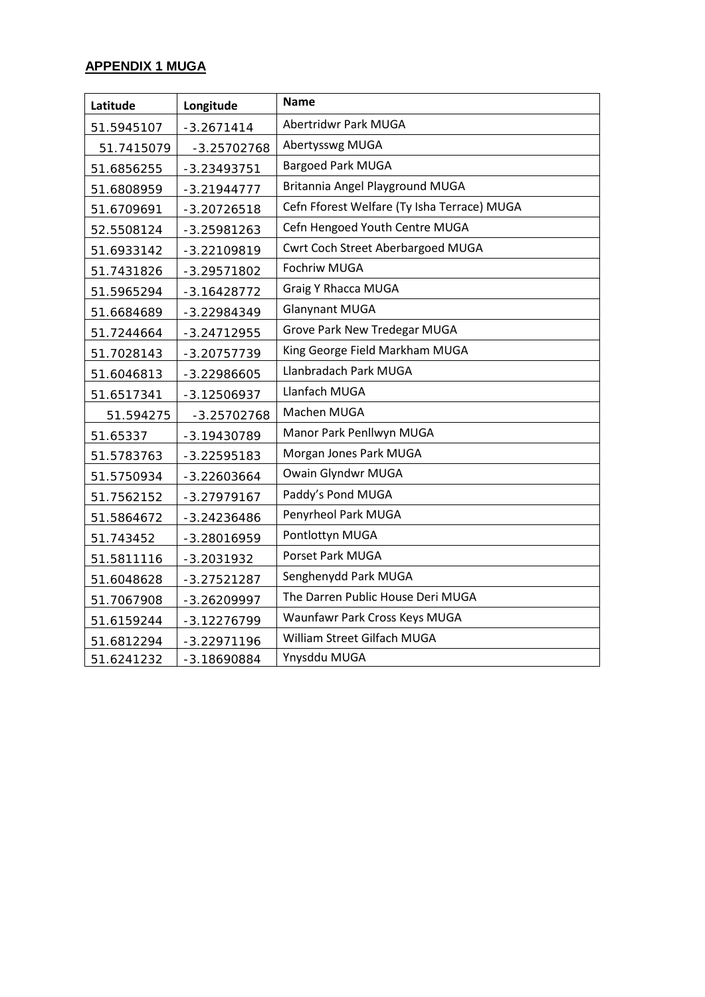## **APPENDIX 1 MUGA**

| Latitude   | Longitude     | <b>Name</b>                                 |  |  |
|------------|---------------|---------------------------------------------|--|--|
| 51.5945107 | $-3.2671414$  | <b>Abertridwr Park MUGA</b>                 |  |  |
| 51.7415079 | $-3.25702768$ | Abertysswg MUGA                             |  |  |
| 51.6856255 | $-3.23493751$ | <b>Bargoed Park MUGA</b>                    |  |  |
| 51.6808959 | $-3.21944777$ | Britannia Angel Playground MUGA             |  |  |
| 51.6709691 | $-3.20726518$ | Cefn Fforest Welfare (Ty Isha Terrace) MUGA |  |  |
| 52.5508124 | $-3.25981263$ | Cefn Hengoed Youth Centre MUGA              |  |  |
| 51.6933142 | $-3.22109819$ | Cwrt Coch Street Aberbargoed MUGA           |  |  |
| 51.7431826 | -3.29571802   | Fochriw MUGA                                |  |  |
| 51.5965294 | $-3.16428772$ | <b>Graig Y Rhacca MUGA</b>                  |  |  |
| 51.6684689 | -3.22984349   | <b>Glanynant MUGA</b>                       |  |  |
| 51.7244664 | $-3.24712955$ | Grove Park New Tredegar MUGA                |  |  |
| 51.7028143 | $-3.20757739$ | King George Field Markham MUGA              |  |  |
| 51.6046813 | $-3.22986605$ | Llanbradach Park MUGA                       |  |  |
| 51.6517341 | $-3.12506937$ | Llanfach MUGA                               |  |  |
| 51.594275  | $-3.25702768$ | Machen MUGA                                 |  |  |
| 51.65337   | -3.19430789   | Manor Park Penllwyn MUGA                    |  |  |
| 51.5783763 | $-3.22595183$ | Morgan Jones Park MUGA                      |  |  |
| 51.5750934 | $-3.22603664$ | Owain Glyndwr MUGA                          |  |  |
| 51.7562152 | $-3.27979167$ | Paddy's Pond MUGA                           |  |  |
| 51.5864672 | $-3.24236486$ | Penyrheol Park MUGA                         |  |  |
| 51.743452  | -3.28016959   | Pontlottyn MUGA                             |  |  |
| 51.5811116 | $-3.2031932$  | Porset Park MUGA                            |  |  |
| 51.6048628 | $-3.27521287$ | Senghenydd Park MUGA                        |  |  |
| 51.7067908 | $-3.26209997$ | The Darren Public House Deri MUGA           |  |  |
| 51.6159244 | $-3.12276799$ | Waunfawr Park Cross Keys MUGA               |  |  |
| 51.6812294 | $-3.22971196$ | William Street Gilfach MUGA                 |  |  |
| 51.6241232 | -3.18690884   | Ynysddu MUGA                                |  |  |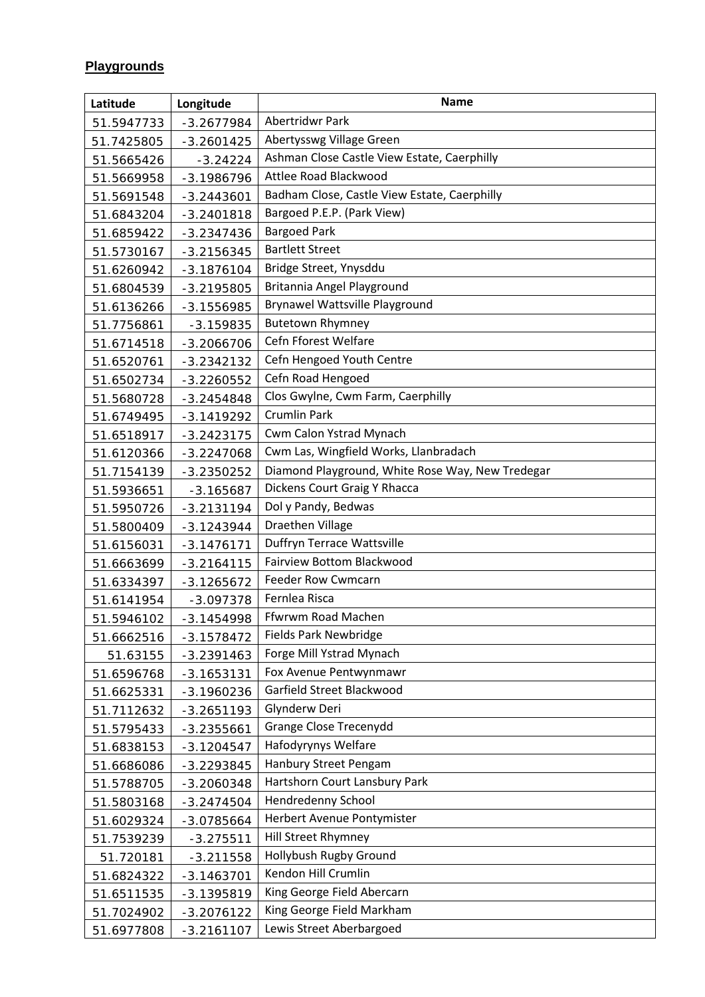## **Playgrounds**

| Latitude   | Longitude    | <b>Name</b>                                      |  |  |
|------------|--------------|--------------------------------------------------|--|--|
| 51.5947733 | $-3.2677984$ | Abertridwr Park                                  |  |  |
| 51.7425805 | $-3.2601425$ | Abertysswg Village Green                         |  |  |
| 51.5665426 | $-3.24224$   | Ashman Close Castle View Estate, Caerphilly      |  |  |
| 51.5669958 | $-3.1986796$ | Attlee Road Blackwood                            |  |  |
| 51.5691548 | $-3.2443601$ | Badham Close, Castle View Estate, Caerphilly     |  |  |
| 51.6843204 | $-3.2401818$ | Bargoed P.E.P. (Park View)                       |  |  |
| 51.6859422 | $-3.2347436$ | <b>Bargoed Park</b>                              |  |  |
| 51.5730167 | $-3.2156345$ | <b>Bartlett Street</b>                           |  |  |
| 51.6260942 | $-3.1876104$ | Bridge Street, Ynysddu                           |  |  |
| 51.6804539 | $-3.2195805$ | Britannia Angel Playground                       |  |  |
| 51.6136266 | $-3.1556985$ | <b>Brynawel Wattsville Playground</b>            |  |  |
| 51.7756861 | $-3.159835$  | <b>Butetown Rhymney</b>                          |  |  |
| 51.6714518 | $-3.2066706$ | Cefn Fforest Welfare                             |  |  |
| 51.6520761 | $-3.2342132$ | Cefn Hengoed Youth Centre                        |  |  |
| 51.6502734 | $-3.2260552$ | Cefn Road Hengoed                                |  |  |
| 51.5680728 | $-3.2454848$ | Clos Gwylne, Cwm Farm, Caerphilly                |  |  |
| 51.6749495 | $-3.1419292$ | <b>Crumlin Park</b>                              |  |  |
| 51.6518917 | $-3.2423175$ | Cwm Calon Ystrad Mynach                          |  |  |
| 51.6120366 | $-3.2247068$ | Cwm Las, Wingfield Works, Llanbradach            |  |  |
| 51.7154139 | $-3.2350252$ | Diamond Playground, White Rose Way, New Tredegar |  |  |
| 51.5936651 | $-3.165687$  | Dickens Court Graig Y Rhacca                     |  |  |
| 51.5950726 | $-3.2131194$ | Dol y Pandy, Bedwas                              |  |  |
| 51.5800409 | $-3.1243944$ | Draethen Village                                 |  |  |
| 51.6156031 | $-3.1476171$ | Duffryn Terrace Wattsville                       |  |  |
| 51.6663699 | $-3.2164115$ | Fairview Bottom Blackwood                        |  |  |
| 51.6334397 | $-3.1265672$ | <b>Feeder Row Cwmcarn</b>                        |  |  |
| 51.6141954 | $-3.097378$  | Fernlea Risca                                    |  |  |
| 51.5946102 | $-3.1454998$ | Ffwrwm Road Machen                               |  |  |
| 51.6662516 | $-3.1578472$ | Fields Park Newbridge                            |  |  |
| 51.63155   | $-3.2391463$ | Forge Mill Ystrad Mynach                         |  |  |
| 51.6596768 | $-3.1653131$ | Fox Avenue Pentwynmawr                           |  |  |
| 51.6625331 | $-3.1960236$ | Garfield Street Blackwood                        |  |  |
| 51.7112632 | $-3.2651193$ | Glynderw Deri                                    |  |  |
| 51.5795433 | $-3.2355661$ | Grange Close Trecenydd                           |  |  |
| 51.6838153 | $-3.1204547$ | Hafodyrynys Welfare                              |  |  |
| 51.6686086 | $-3.2293845$ | Hanbury Street Pengam                            |  |  |
| 51.5788705 | $-3.2060348$ | Hartshorn Court Lansbury Park                    |  |  |
| 51.5803168 | $-3.2474504$ | Hendredenny School                               |  |  |
| 51.6029324 | $-3.0785664$ | Herbert Avenue Pontymister                       |  |  |
| 51.7539239 | $-3.275511$  | Hill Street Rhymney                              |  |  |
| 51.720181  | $-3.211558$  | Hollybush Rugby Ground                           |  |  |
| 51.6824322 | $-3.1463701$ | Kendon Hill Crumlin                              |  |  |
| 51.6511535 | $-3.1395819$ | King George Field Abercarn                       |  |  |
| 51.7024902 | $-3.2076122$ | King George Field Markham                        |  |  |
| 51.6977808 | $-3.2161107$ | Lewis Street Aberbargoed                         |  |  |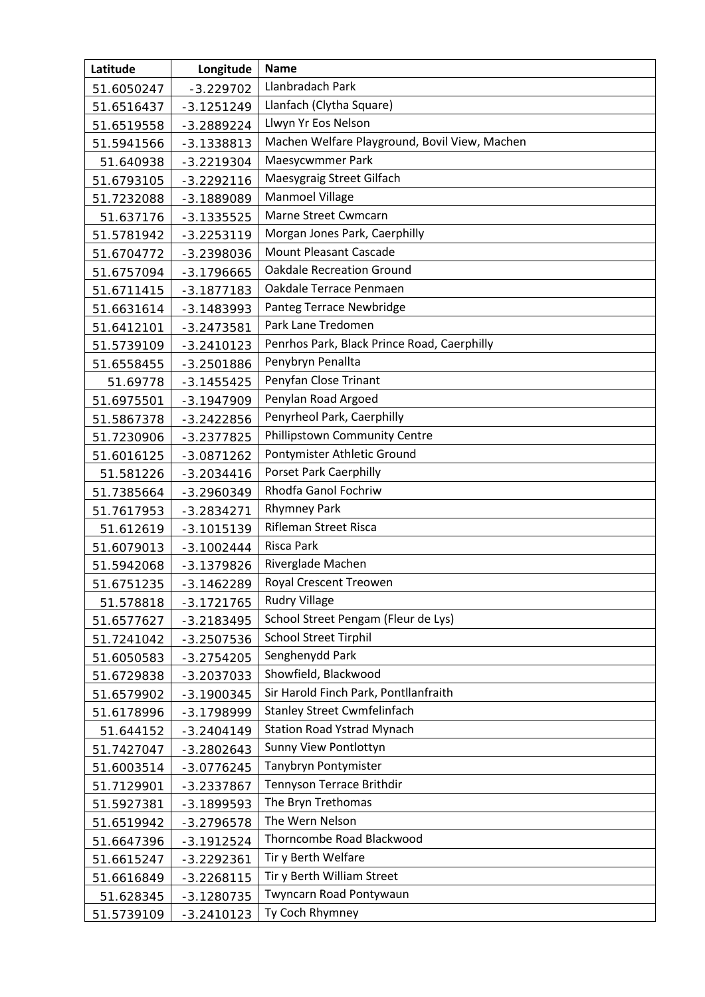| Latitude   | Longitude    | <b>Name</b>                                   |  |  |
|------------|--------------|-----------------------------------------------|--|--|
| 51.6050247 | $-3.229702$  | Llanbradach Park                              |  |  |
| 51.6516437 | $-3.1251249$ | Llanfach (Clytha Square)                      |  |  |
| 51.6519558 | $-3.2889224$ | Llwyn Yr Eos Nelson                           |  |  |
| 51.5941566 | $-3.1338813$ | Machen Welfare Playground, Bovil View, Machen |  |  |
| 51.640938  | $-3.2219304$ | Maesycwmmer Park                              |  |  |
| 51.6793105 | $-3.2292116$ | Maesygraig Street Gilfach                     |  |  |
| 51.7232088 | $-3.1889089$ | Manmoel Village                               |  |  |
| 51.637176  | $-3.1335525$ | Marne Street Cwmcarn                          |  |  |
| 51.5781942 | $-3.2253119$ | Morgan Jones Park, Caerphilly                 |  |  |
| 51.6704772 | $-3.2398036$ | <b>Mount Pleasant Cascade</b>                 |  |  |
| 51.6757094 | $-3.1796665$ | <b>Oakdale Recreation Ground</b>              |  |  |
| 51.6711415 | $-3.1877183$ | Oakdale Terrace Penmaen                       |  |  |
| 51.6631614 | $-3.1483993$ | Panteg Terrace Newbridge                      |  |  |
| 51.6412101 | $-3.2473581$ | Park Lane Tredomen                            |  |  |
| 51.5739109 | $-3.2410123$ | Penrhos Park, Black Prince Road, Caerphilly   |  |  |
| 51.6558455 | $-3.2501886$ | Penybryn Penallta                             |  |  |
| 51.69778   | $-3.1455425$ | Penyfan Close Trinant                         |  |  |
| 51.6975501 | $-3.1947909$ | Penylan Road Argoed                           |  |  |
| 51.5867378 | $-3.2422856$ | Penyrheol Park, Caerphilly                    |  |  |
| 51.7230906 | $-3.2377825$ | Phillipstown Community Centre                 |  |  |
| 51.6016125 | $-3.0871262$ | Pontymister Athletic Ground                   |  |  |
| 51.581226  | $-3.2034416$ | <b>Porset Park Caerphilly</b>                 |  |  |
| 51.7385664 | $-3.2960349$ | Rhodfa Ganol Fochriw                          |  |  |
| 51.7617953 | $-3.2834271$ | <b>Rhymney Park</b>                           |  |  |
| 51.612619  | $-3.1015139$ | <b>Rifleman Street Risca</b>                  |  |  |
| 51.6079013 | $-3.1002444$ | <b>Risca Park</b>                             |  |  |
| 51.5942068 | $-3.1379826$ | Riverglade Machen                             |  |  |
| 51.6751235 | $-3.1462289$ | <b>Royal Crescent Treowen</b>                 |  |  |
| 51.578818  | $-3.1721765$ | <b>Rudry Village</b>                          |  |  |
| 51.6577627 | $-3.2183495$ | School Street Pengam (Fleur de Lys)           |  |  |
| 51.7241042 | $-3.2507536$ | <b>School Street Tirphil</b>                  |  |  |
| 51.6050583 | $-3.2754205$ | Senghenydd Park                               |  |  |
| 51.6729838 | $-3.2037033$ | Showfield, Blackwood                          |  |  |
| 51.6579902 | $-3.1900345$ | Sir Harold Finch Park, Pontllanfraith         |  |  |
| 51.6178996 | $-3.1798999$ | <b>Stanley Street Cwmfelinfach</b>            |  |  |
| 51.644152  | $-3.2404149$ | <b>Station Road Ystrad Mynach</b>             |  |  |
| 51.7427047 | $-3.2802643$ | Sunny View Pontlottyn                         |  |  |
| 51.6003514 | $-3.0776245$ | Tanybryn Pontymister                          |  |  |
| 51.7129901 | $-3.2337867$ | Tennyson Terrace Brithdir                     |  |  |
| 51.5927381 | $-3.1899593$ | The Bryn Trethomas                            |  |  |
| 51.6519942 | $-3.2796578$ | The Wern Nelson                               |  |  |
| 51.6647396 | $-3.1912524$ | Thorncombe Road Blackwood                     |  |  |
| 51.6615247 | $-3.2292361$ | Tir y Berth Welfare                           |  |  |
| 51.6616849 | $-3.2268115$ | Tir y Berth William Street                    |  |  |
| 51.628345  | $-3.1280735$ | Twyncarn Road Pontywaun                       |  |  |
| 51.5739109 | $-3.2410123$ | Ty Coch Rhymney                               |  |  |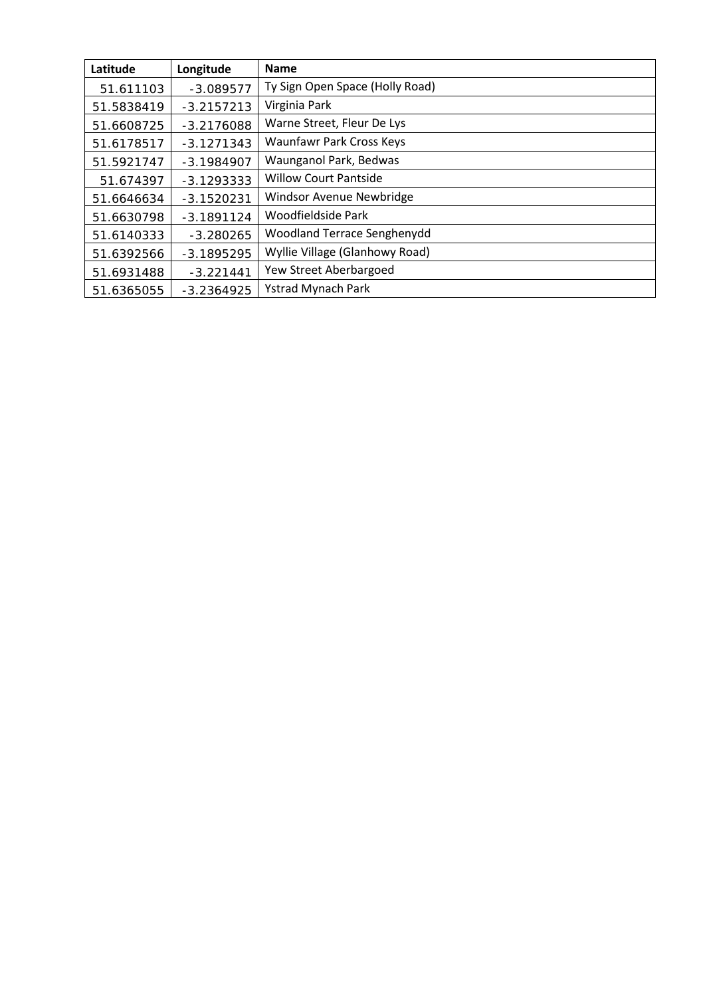| Latitude   | Longitude    | <b>Name</b>                     |  |  |
|------------|--------------|---------------------------------|--|--|
| 51.611103  | $-3.089577$  | Ty Sign Open Space (Holly Road) |  |  |
| 51.5838419 | $-3.2157213$ | Virginia Park                   |  |  |
| 51.6608725 | $-3.2176088$ | Warne Street, Fleur De Lys      |  |  |
| 51.6178517 | $-3.1271343$ | Waunfawr Park Cross Keys        |  |  |
| 51.5921747 | $-3.1984907$ | Waunganol Park, Bedwas          |  |  |
| 51.674397  | $-3.1293333$ | <b>Willow Court Pantside</b>    |  |  |
| 51.6646634 | $-3.1520231$ | Windsor Avenue Newbridge        |  |  |
| 51.6630798 | $-3.1891124$ | Woodfieldside Park              |  |  |
| 51.6140333 | $-3.280265$  | Woodland Terrace Senghenydd     |  |  |
| 51.6392566 | $-3.1895295$ | Wyllie Village (Glanhowy Road)  |  |  |
| 51.6931488 | $-3.221441$  | Yew Street Aberbargoed          |  |  |
| 51.6365055 | $-3.2364925$ | <b>Ystrad Mynach Park</b>       |  |  |